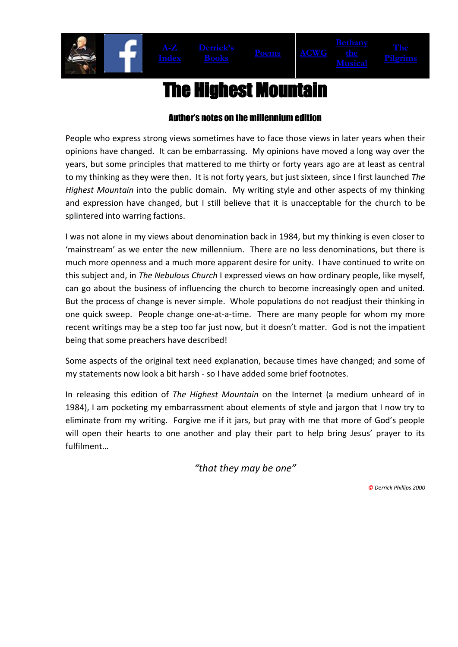# The Highest Mountain

### Author's notes on the millennium edition

People who express strong views sometimes have to face those views in later years when their opinions have changed. It can be embarrassing. My opinions have moved a long way over the years, but some principles that mattered to me thirty or forty years ago are at least as central to my thinking as they were then. It is not forty years, but just sixteen, since I first launched *The Highest Mountain* into the public domain. My writing style and other aspects of my thinking and expression have changed, but I still believe that it is unacceptable for the church to be splintered into warring factions.

I was not alone in my views about denomination back in 1984, but my thinking is even closer to 'mainstream' as we enter the new millennium. There are no less denominations, but there is much more openness and a much more apparent desire for unity. I have continued to write on this subject and, in *The Nebulous Church* I expressed views on how ordinary people, like myself, can go about the business of influencing the church to become increasingly open and united. But the process of change is never simple. Whole populations do not readjust their thinking in one quick sweep. People change one-at-a-time. There are many people for whom my more recent writings may be a step too far just now, but it doesn't matter. God is not the impatient being that some preachers have described!

Some aspects of the original text need explanation, because times have changed; and some of my statements now look a bit harsh - so I have added some brief footnotes.

In releasing this edition of *The Highest Mountain* on the Internet (a medium unheard of in 1984), I am pocketing my embarrassment about elements of style and jargon that I now try to eliminate from my writing. Forgive me if it jars, but pray with me that more of God's people will open their hearts to one another and play their part to help bring Jesus' prayer to its fulfilment…

*"that they may be one"*

*© Derrick Phillips 2000*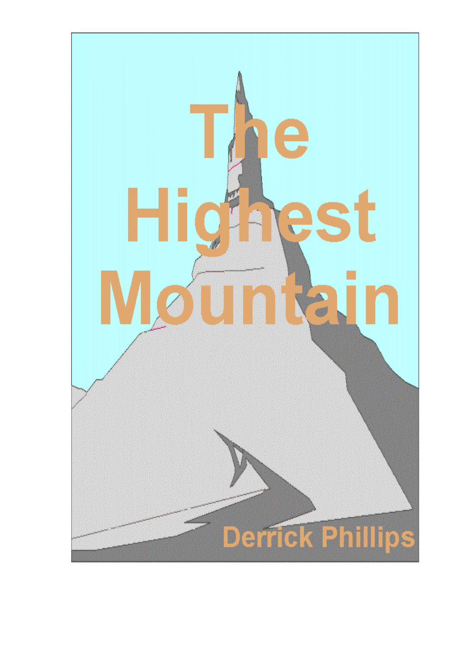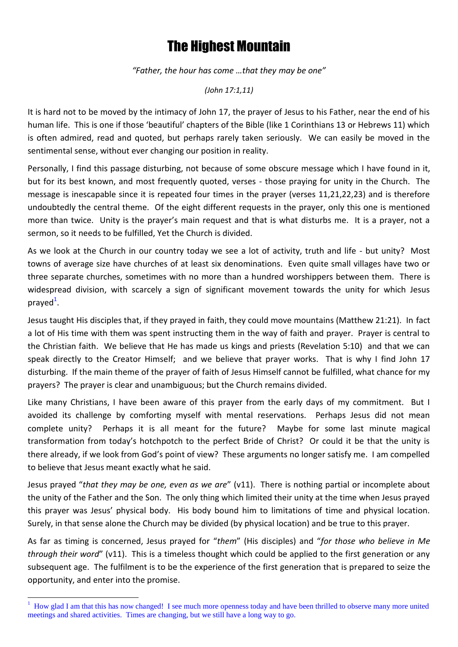## The Highest Mountain

*"Father, the hour has come …that they may be one"*

*(John 17:1,11)*

It is hard not to be moved by the intimacy of John 17, the prayer of Jesus to his Father, near the end of his human life. This is one if those 'beautiful' chapters of the Bible (like 1 Corinthians 13 or Hebrews 11) which is often admired, read and quoted, but perhaps rarely taken seriously. We can easily be moved in the sentimental sense, without ever changing our position in reality.

Personally, I find this passage disturbing, not because of some obscure message which I have found in it, but for its best known, and most frequently quoted, verses - those praying for unity in the Church. The message is inescapable since it is repeated four times in the prayer (verses 11,21,22,23) and is therefore undoubtedly the central theme. Of the eight different requests in the prayer, only this one is mentioned more than twice. Unity is the prayer's main request and that is what disturbs me. It is a prayer, not a sermon, so it needs to be fulfilled, Yet the Church is divided.

As we look at the Church in our country today we see a lot of activity, truth and life - but unity? Most towns of average size have churches of at least six denominations. Even quite small villages have two or three separate churches, sometimes with no more than a hundred worshippers between them. There is widespread division, with scarcely a sign of significant movement towards the unity for which Jesus prayed<sup>1</sup>.

Jesus taught His disciples that, if they prayed in faith, they could move mountains (Matthew 21:21). In fact a lot of His time with them was spent instructing them in the way of faith and prayer. Prayer is central to the Christian faith. We believe that He has made us kings and priests (Revelation 5:10) and that we can speak directly to the Creator Himself; and we believe that prayer works. That is why I find John 17 disturbing. If the main theme of the prayer of faith of Jesus Himself cannot be fulfilled, what chance for my prayers? The prayer is clear and unambiguous; but the Church remains divided.

Like many Christians, I have been aware of this prayer from the early days of my commitment. But I avoided its challenge by comforting myself with mental reservations. Perhaps Jesus did not mean complete unity? Perhaps it is all meant for the future? Maybe for some last minute magical transformation from today's hotchpotch to the perfect Bride of Christ? Or could it be that the unity is there already, if we look from God's point of view? These arguments no longer satisfy me. I am compelled to believe that Jesus meant exactly what he said.

Jesus prayed "*that they may be one, even as we are*" (v11). There is nothing partial or incomplete about the unity of the Father and the Son. The only thing which limited their unity at the time when Jesus prayed this prayer was Jesus' physical body. His body bound him to limitations of time and physical location. Surely, in that sense alone the Church may be divided (by physical location) and be true to this prayer.

As far as timing is concerned, Jesus prayed for "*them*" (His disciples) and "*for those who believe in Me through their word*" (v11). This is a timeless thought which could be applied to the first generation or any subsequent age. The fulfilment is to be the experience of the first generation that is prepared to seize the opportunity, and enter into the promise.

**.** 

<sup>&</sup>lt;sup>1</sup> How glad I am that this has now changed! I see much more openness today and have been thrilled to observe many more united meetings and shared activities. Times are changing, but we still have a long way to go.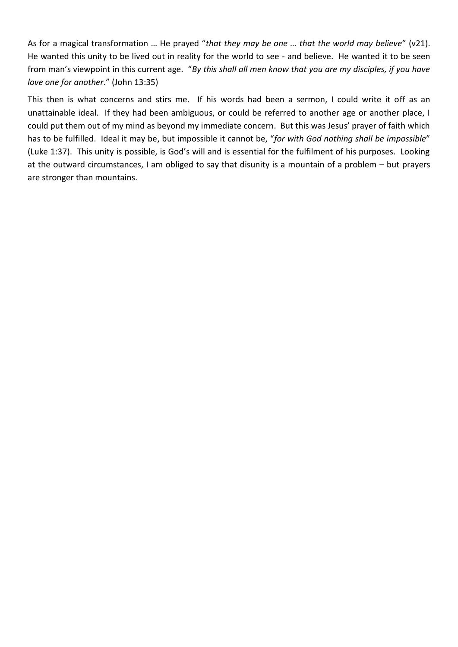As for a magical transformation … He prayed "*that they may be one … that the world may believe*" (v21). He wanted this unity to be lived out in reality for the world to see - and believe. He wanted it to be seen from man's viewpoint in this current age. "*By this shall all men know that you are my disciples, if you have love one for another*." (John 13:35)

This then is what concerns and stirs me. If his words had been a sermon, I could write it off as an unattainable ideal. If they had been ambiguous, or could be referred to another age or another place, I could put them out of my mind as beyond my immediate concern. But this was Jesus' prayer of faith which has to be fulfilled. Ideal it may be, but impossible it cannot be, "*for with God nothing shall be impossible*" (Luke 1:37). This unity is possible, is God's will and is essential for the fulfilment of his purposes. Looking at the outward circumstances, I am obliged to say that disunity is a mountain of a problem – but prayers are stronger than mountains.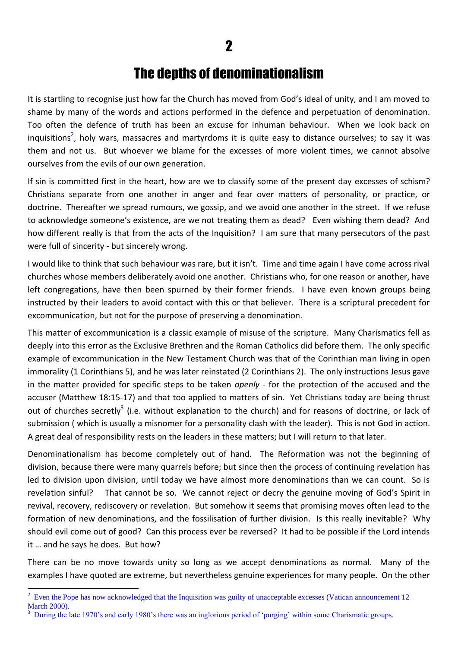### The depths of denominationalism

It is startling to recognise just how far the Church has moved from God's ideal of unity, and I am moved to shame by many of the words and actions performed in the defence and perpetuation of denomination. Too often the defence of truth has been an excuse for inhuman behaviour. When we look back on inquisitions<sup>2</sup>, holy wars, massacres and martyrdoms it is quite easy to distance ourselves; to say it was them and not us. But whoever we blame for the excesses of more violent times, we cannot absolve ourselves from the evils of our own generation.

If sin is committed first in the heart, how are we to classify some of the present day excesses of schism? Christians separate from one another in anger and fear over matters of personality, or practice, or doctrine. Thereafter we spread rumours, we gossip, and we avoid one another in the street. If we refuse to acknowledge someone's existence, are we not treating them as dead? Even wishing them dead? And how different really is that from the acts of the Inquisition? I am sure that many persecutors of the past were full of sincerity - but sincerely wrong.

I would like to think that such behaviour was rare, but it isn't. Time and time again I have come across rival churches whose members deliberately avoid one another. Christians who, for one reason or another, have left congregations, have then been spurned by their former friends. I have even known groups being instructed by their leaders to avoid contact with this or that believer. There is a scriptural precedent for excommunication, but not for the purpose of preserving a denomination.

This matter of excommunication is a classic example of misuse of the scripture. Many Charismatics fell as deeply into this error as the Exclusive Brethren and the Roman Catholics did before them. The only specific example of excommunication in the New Testament Church was that of the Corinthian man living in open immorality (1 Corinthians 5), and he was later reinstated (2 Corinthians 2). The only instructions Jesus gave in the matter provided for specific steps to be taken *openly* - for the protection of the accused and the accuser (Matthew 18:15-17) and that too applied to matters of sin. Yet Christians today are being thrust out of churches secretly<sup>3</sup> (i.e. without explanation to the church) and for reasons of doctrine, or lack of submission ( which is usually a misnomer for a personality clash with the leader). This is not God in action. A great deal of responsibility rests on the leaders in these matters; but I will return to that later.

Denominationalism has become completely out of hand. The Reformation was not the beginning of division, because there were many quarrels before; but since then the process of continuing revelation has led to division upon division, until today we have almost more denominations than we can count. So is revelation sinful? That cannot be so. We cannot reject or decry the genuine moving of God's Spirit in revival, recovery, rediscovery or revelation. But somehow it seems that promising moves often lead to the formation of new denominations, and the fossilisation of further division. Is this really inevitable? Why should evil come out of good? Can this process ever be reversed? It had to be possible if the Lord intends it … and he says he does. But how?

There can be no move towards unity so long as we accept denominations as normal. Many of the examples I have quoted are extreme, but nevertheless genuine experiences for many people. On the other

<sup>&</sup>lt;sup>2</sup> Even the Pope has now acknowledged that the Inquisition was guilty of unacceptable excesses (Vatican announcement 12 March 2000).

<sup>3</sup> During the late 1970's and early 1980's there was an inglorious period of 'purging' within some Charismatic groups.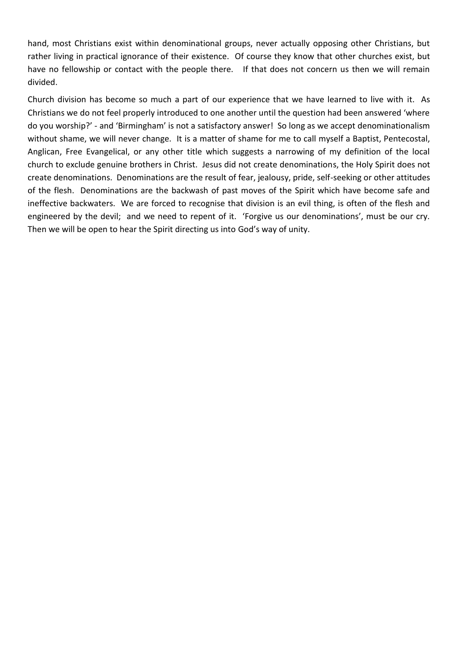hand, most Christians exist within denominational groups, never actually opposing other Christians, but rather living in practical ignorance of their existence. Of course they know that other churches exist, but have no fellowship or contact with the people there. If that does not concern us then we will remain divided.

Church division has become so much a part of our experience that we have learned to live with it. As Christians we do not feel properly introduced to one another until the question had been answered 'where do you worship?' - and 'Birmingham' is not a satisfactory answer! So long as we accept denominationalism without shame, we will never change. It is a matter of shame for me to call myself a Baptist, Pentecostal, Anglican, Free Evangelical, or any other title which suggests a narrowing of my definition of the local church to exclude genuine brothers in Christ. Jesus did not create denominations, the Holy Spirit does not create denominations. Denominations are the result of fear, jealousy, pride, self-seeking or other attitudes of the flesh. Denominations are the backwash of past moves of the Spirit which have become safe and ineffective backwaters. We are forced to recognise that division is an evil thing, is often of the flesh and engineered by the devil; and we need to repent of it. 'Forgive us our denominations', must be our cry. Then we will be open to hear the Spirit directing us into God's way of unity.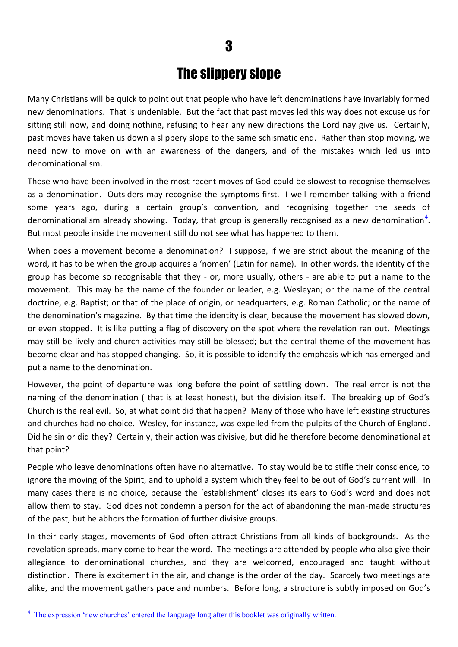### The slippery slope

Many Christians will be quick to point out that people who have left denominations have invariably formed new denominations. That is undeniable. But the fact that past moves led this way does not excuse us for sitting still now, and doing nothing, refusing to hear any new directions the Lord nay give us. Certainly, past moves have taken us down a slippery slope to the same schismatic end. Rather than stop moving, we need now to move on with an awareness of the dangers, and of the mistakes which led us into denominationalism.

Those who have been involved in the most recent moves of God could be slowest to recognise themselves as a denomination. Outsiders may recognise the symptoms first. I well remember talking with a friend some years ago, during a certain group's convention, and recognising together the seeds of denominationalism already showing. Today, that group is generally recognised as a new denomination<sup>4</sup>. But most people inside the movement still do not see what has happened to them.

When does a movement become a denomination? I suppose, if we are strict about the meaning of the word, it has to be when the group acquires a 'nomen' (Latin for name). In other words, the identity of the group has become so recognisable that they - or, more usually, others - are able to put a name to the movement. This may be the name of the founder or leader, e.g. Wesleyan; or the name of the central doctrine, e.g. Baptist; or that of the place of origin, or headquarters, e.g. Roman Catholic; or the name of the denomination's magazine. By that time the identity is clear, because the movement has slowed down, or even stopped. It is like putting a flag of discovery on the spot where the revelation ran out. Meetings may still be lively and church activities may still be blessed; but the central theme of the movement has become clear and has stopped changing. So, it is possible to identify the emphasis which has emerged and put a name to the denomination.

However, the point of departure was long before the point of settling down. The real error is not the naming of the denomination ( that is at least honest), but the division itself. The breaking up of God's Church is the real evil. So, at what point did that happen? Many of those who have left existing structures and churches had no choice. Wesley, for instance, was expelled from the pulpits of the Church of England. Did he sin or did they? Certainly, their action was divisive, but did he therefore become denominational at that point?

People who leave denominations often have no alternative. To stay would be to stifle their conscience, to ignore the moving of the Spirit, and to uphold a system which they feel to be out of God's current will. In many cases there is no choice, because the 'establishment' closes its ears to God's word and does not allow them to stay. God does not condemn a person for the act of abandoning the man-made structures of the past, but he abhors the formation of further divisive groups.

In their early stages, movements of God often attract Christians from all kinds of backgrounds. As the revelation spreads, many come to hear the word. The meetings are attended by people who also give their allegiance to denominational churches, and they are welcomed, encouraged and taught without distinction. There is excitement in the air, and change is the order of the day. Scarcely two meetings are alike, and the movement gathers pace and numbers. Before long, a structure is subtly imposed on God's

**.** 

<sup>&</sup>lt;sup>4</sup> The expression 'new churches' entered the language long after this booklet was originally written.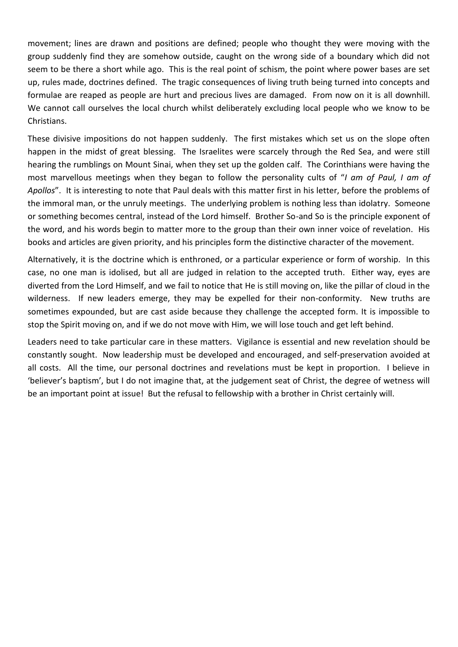movement; lines are drawn and positions are defined; people who thought they were moving with the group suddenly find they are somehow outside, caught on the wrong side of a boundary which did not seem to be there a short while ago. This is the real point of schism, the point where power bases are set up, rules made, doctrines defined. The tragic consequences of living truth being turned into concepts and formulae are reaped as people are hurt and precious lives are damaged. From now on it is all downhill. We cannot call ourselves the local church whilst deliberately excluding local people who we know to be Christians.

These divisive impositions do not happen suddenly. The first mistakes which set us on the slope often happen in the midst of great blessing. The Israelites were scarcely through the Red Sea, and were still hearing the rumblings on Mount Sinai, when they set up the golden calf. The Corinthians were having the most marvellous meetings when they began to follow the personality cults of "*I am of Paul, I am of Apollos*". It is interesting to note that Paul deals with this matter first in his letter, before the problems of the immoral man, or the unruly meetings. The underlying problem is nothing less than idolatry. Someone or something becomes central, instead of the Lord himself. Brother So-and So is the principle exponent of the word, and his words begin to matter more to the group than their own inner voice of revelation. His books and articles are given priority, and his principles form the distinctive character of the movement.

Alternatively, it is the doctrine which is enthroned, or a particular experience or form of worship. In this case, no one man is idolised, but all are judged in relation to the accepted truth. Either way, eyes are diverted from the Lord Himself, and we fail to notice that He is still moving on, like the pillar of cloud in the wilderness. If new leaders emerge, they may be expelled for their non-conformity. New truths are sometimes expounded, but are cast aside because they challenge the accepted form. It is impossible to stop the Spirit moving on, and if we do not move with Him, we will lose touch and get left behind.

Leaders need to take particular care in these matters. Vigilance is essential and new revelation should be constantly sought. Now leadership must be developed and encouraged, and self-preservation avoided at all costs. All the time, our personal doctrines and revelations must be kept in proportion. I believe in 'believer's baptism', but I do not imagine that, at the judgement seat of Christ, the degree of wetness will be an important point at issue! But the refusal to fellowship with a brother in Christ certainly will.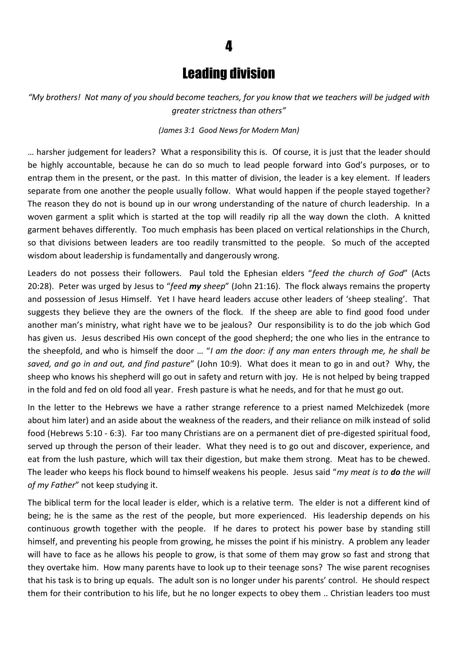### Leading division

4

*"My brothers! Not many of you should become teachers, for you know that we teachers will be judged with greater strictness than others"*

### *(James 3:1 Good News for Modern Man)*

… harsher judgement for leaders? What a responsibility this is. Of course, it is just that the leader should be highly accountable, because he can do so much to lead people forward into God's purposes, or to entrap them in the present, or the past. In this matter of division, the leader is a key element. If leaders separate from one another the people usually follow. What would happen if the people stayed together? The reason they do not is bound up in our wrong understanding of the nature of church leadership. In a woven garment a split which is started at the top will readily rip all the way down the cloth. A knitted garment behaves differently. Too much emphasis has been placed on vertical relationships in the Church, so that divisions between leaders are too readily transmitted to the people. So much of the accepted wisdom about leadership is fundamentally and dangerously wrong.

Leaders do not possess their followers. Paul told the Ephesian elders "*feed the church of God*" (Acts 20:28). Peter was urged by Jesus to "*feed my sheep*" (John 21:16). The flock always remains the property and possession of Jesus Himself. Yet I have heard leaders accuse other leaders of 'sheep stealing'. That suggests they believe they are the owners of the flock. If the sheep are able to find good food under another man's ministry, what right have we to be jealous? Our responsibility is to do the job which God has given us. Jesus described His own concept of the good shepherd; the one who lies in the entrance to the sheepfold, and who is himself the door … "*I am the door: if any man enters through me, he shall be saved, and go in and out, and find pasture*" (John 10:9). What does it mean to go in and out? Why, the sheep who knows his shepherd will go out in safety and return with joy. He is not helped by being trapped in the fold and fed on old food all year. Fresh pasture is what he needs, and for that he must go out.

In the letter to the Hebrews we have a rather strange reference to a priest named Melchizedek (more about him later) and an aside about the weakness of the readers, and their reliance on milk instead of solid food (Hebrews 5:10 - 6:3). Far too many Christians are on a permanent diet of pre-digested spiritual food, served up through the person of their leader. What they need is to go out and discover, experience, and eat from the lush pasture, which will tax their digestion, but make them strong. Meat has to be chewed. The leader who keeps his flock bound to himself weakens his people. Jesus said "*my meat is to do the will of my Father*" not keep studying it.

The biblical term for the local leader is elder, which is a relative term. The elder is not a different kind of being; he is the same as the rest of the people, but more experienced. His leadership depends on his continuous growth together with the people. If he dares to protect his power base by standing still himself, and preventing his people from growing, he misses the point if his ministry. A problem any leader will have to face as he allows his people to grow, is that some of them may grow so fast and strong that they overtake him. How many parents have to look up to their teenage sons? The wise parent recognises that his task is to bring up equals. The adult son is no longer under his parents' control. He should respect them for their contribution to his life, but he no longer expects to obey them .. Christian leaders too must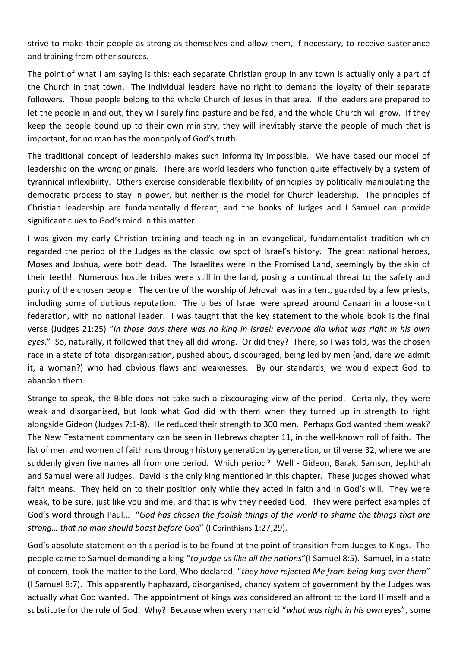strive to make their people as strong as themselves and allow them, if necessary, to receive sustenance and training from other sources.

The point of what I am saying is this: each separate Christian group in any town is actually only a part of the Church in that town. The individual leaders have no right to demand the loyalty of their separate followers. Those people belong to the whole Church of Jesus in that area. If the leaders are prepared to let the people in and out, they will surely find pasture and be fed, and the whole Church will grow. If they keep the people bound up to their own ministry, they will inevitably starve the people of much that is important, for no man has the monopoly of God's truth.

The traditional concept of leadership makes such informality impossible. We have based our model of leadership on the wrong originals. There are world leaders who function quite effectively by a system of tyrannical inflexibility. Others exercise considerable flexibility of principles by politically manipulating the democratic process to stay in power, but neither is the model for Church leadership. The principles of Christian leadership are fundamentally different, and the books of Judges and I Samuel can provide significant clues to God's mind in this matter.

I was given my early Christian training and teaching in an evangelical, fundamentalist tradition which regarded the period of the Judges as the classic low spot of Israel's history. The great national heroes, Moses and Joshua, were both dead. The Israelites were in the Promised Land, seemingly by the skin of their teeth! Numerous hostile tribes were still in the land, posing a continual threat to the safety and purity of the chosen people. The centre of the worship of Jehovah was in a tent, guarded by a few priests, including some of dubious reputation. The tribes of Israel were spread around Canaan in a loose-knit federation, with no national leader. I was taught that the key statement to the whole book is the final verse (Judges 21:25) "*In those days there was no king in Israel: everyone did what was right in his own eyes*." So, naturally, it followed that they all did wrong. Or did they? There, so I was told, was the chosen race in a state of total disorganisation, pushed about, discouraged, being led by men (and, dare we admit it, a woman?) who had obvious flaws and weaknesses. By our standards, we would expect God to abandon them.

Strange to speak, the Bible does not take such a discouraging view of the period. Certainly, they were weak and disorganised, but look what God did with them when they turned up in strength to fight alongside Gideon (Judges 7:1-8). He reduced their strength to 300 men. Perhaps God wanted them weak? The New Testament commentary can be seen in Hebrews chapter 11, in the well-known roll of faith. The list of men and women of faith runs through history generation by generation, until verse 32, where we are suddenly given five names all from one period. Which period? Well - Gideon, Barak, Samson, Jephthah and Samuel were all Judges. David is the only king mentioned in this chapter. These judges showed what faith means. They held on to their position only while they acted in faith and in God's will. They were weak, to be sure, just like you and me, and that is why they needed God. They were perfect examples of God's word through Paul... "*God has chosen the foolish things of the world to shame the things that are strong… that no man should boast before God*" (I Corinthians 1:27,29).

God's absolute statement on this period is to be found at the point of transition from Judges to Kings. The people came to Samuel demanding a king "*to judge us like all the nations*"(I Samuel 8:5). Samuel, in a state of concern, took the matter to the Lord, Who declared, "*they have rejected Me from being king over them*" (I Samuel 8:7). This apparently haphazard, disorganised, chancy system of government by the Judges was actually what God wanted. The appointment of kings was considered an affront to the Lord Himself and a substitute for the rule of God. Why? Because when every man did "*what was right in his own eyes*", some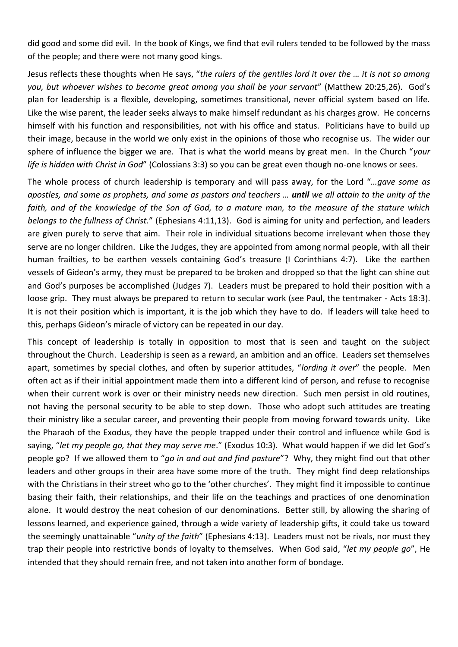did good and some did evil. In the book of Kings, we find that evil rulers tended to be followed by the mass of the people; and there were not many good kings.

Jesus reflects these thoughts when He says, "*the rulers of the gentiles lord it over the … it is not so among you, but whoever wishes to become great among you shall be your servant*" (Matthew 20:25,26). God's plan for leadership is a flexible, developing, sometimes transitional, never official system based on life. Like the wise parent, the leader seeks always to make himself redundant as his charges grow. He concerns himself with his function and responsibilities, not with his office and status. Politicians have to build up their image, because in the world we only exist in the opinions of those who recognise us. The wider our sphere of influence the bigger we are. That is what the world means by great men. In the Church "*your life is hidden with Christ in God*" (Colossians 3:3) so you can be great even though no-one knows or sees.

The whole process of church leadership is temporary and will pass away, for the Lord "*…gave some as apostles, and some as prophets, and some as pastors and teachers … until we all attain to the unity of the faith, and of the knowledge of the Son of God, to a mature man, to the measure of the stature which belongs to the fullness of Christ.*" (Ephesians 4:11,13). God is aiming for unity and perfection, and leaders are given purely to serve that aim. Their role in individual situations become irrelevant when those they serve are no longer children. Like the Judges, they are appointed from among normal people, with all their human frailties, to be earthen vessels containing God's treasure (I Corinthians 4:7). Like the earthen vessels of Gideon's army, they must be prepared to be broken and dropped so that the light can shine out and God's purposes be accomplished (Judges 7). Leaders must be prepared to hold their position with a loose grip. They must always be prepared to return to secular work (see Paul, the tentmaker - Acts 18:3). It is not their position which is important, it is the job which they have to do. If leaders will take heed to this, perhaps Gideon's miracle of victory can be repeated in our day.

This concept of leadership is totally in opposition to most that is seen and taught on the subject throughout the Church. Leadership is seen as a reward, an ambition and an office. Leaders set themselves apart, sometimes by special clothes, and often by superior attitudes, "*lording it over*" the people. Men often act as if their initial appointment made them into a different kind of person, and refuse to recognise when their current work is over or their ministry needs new direction. Such men persist in old routines, not having the personal security to be able to step down. Those who adopt such attitudes are treating their ministry like a secular career, and preventing their people from moving forward towards unity. Like the Pharaoh of the Exodus, they have the people trapped under their control and influence while God is saying, "*let my people go, that they may serve me*." (Exodus 10:3). What would happen if we did let God's people go? If we allowed them to "*go in and out and find pasture*"? Why, they might find out that other leaders and other groups in their area have some more of the truth. They might find deep relationships with the Christians in their street who go to the 'other churches'. They might find it impossible to continue basing their faith, their relationships, and their life on the teachings and practices of one denomination alone. It would destroy the neat cohesion of our denominations. Better still, by allowing the sharing of lessons learned, and experience gained, through a wide variety of leadership gifts, it could take us toward the seemingly unattainable "*unity of the faith*" (Ephesians 4:13). Leaders must not be rivals, nor must they trap their people into restrictive bonds of loyalty to themselves. When God said, "*let my people go*", He intended that they should remain free, and not taken into another form of bondage.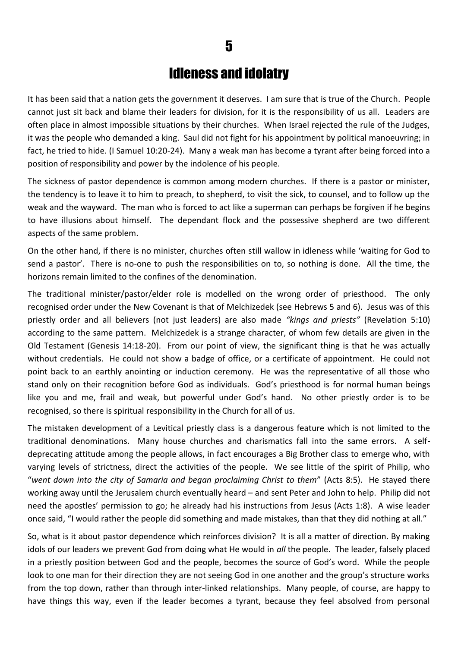### Idleness and idolatry

It has been said that a nation gets the government it deserves. I am sure that is true of the Church. People cannot just sit back and blame their leaders for division, for it is the responsibility of us all. Leaders are often place in almost impossible situations by their churches. When Israel rejected the rule of the Judges, it was the people who demanded a king. Saul did not fight for his appointment by political manoeuvring; in fact, he tried to hide. (I Samuel 10:20-24). Many a weak man has become a tyrant after being forced into a position of responsibility and power by the indolence of his people.

The sickness of pastor dependence is common among modern churches. If there is a pastor or minister, the tendency is to leave it to him to preach, to shepherd, to visit the sick, to counsel, and to follow up the weak and the wayward. The man who is forced to act like a superman can perhaps be forgiven if he begins to have illusions about himself. The dependant flock and the possessive shepherd are two different aspects of the same problem.

On the other hand, if there is no minister, churches often still wallow in idleness while 'waiting for God to send a pastor'. There is no-one to push the responsibilities on to, so nothing is done. All the time, the horizons remain limited to the confines of the denomination.

The traditional minister/pastor/elder role is modelled on the wrong order of priesthood. The only recognised order under the New Covenant is that of Melchizedek (see Hebrews 5 and 6). Jesus was of this priestly order and all believers (not just leaders) are also made *"kings and priests"* (Revelation 5:10) according to the same pattern. Melchizedek is a strange character, of whom few details are given in the Old Testament (Genesis 14:18-20). From our point of view, the significant thing is that he was actually without credentials. He could not show a badge of office, or a certificate of appointment. He could not point back to an earthly anointing or induction ceremony. He was the representative of all those who stand only on their recognition before God as individuals. God's priesthood is for normal human beings like you and me, frail and weak, but powerful under God's hand. No other priestly order is to be recognised, so there is spiritual responsibility in the Church for all of us.

The mistaken development of a Levitical priestly class is a dangerous feature which is not limited to the traditional denominations. Many house churches and charismatics fall into the same errors. A selfdeprecating attitude among the people allows, in fact encourages a Big Brother class to emerge who, with varying levels of strictness, direct the activities of the people. We see little of the spirit of Philip, who "*went down into the city of Samaria and began proclaiming Christ to them*" (Acts 8:5). He stayed there working away until the Jerusalem church eventually heard – and sent Peter and John to help. Philip did not need the apostles' permission to go; he already had his instructions from Jesus (Acts 1:8). A wise leader once said, "I would rather the people did something and made mistakes, than that they did nothing at all."

So, what is it about pastor dependence which reinforces division? It is all a matter of direction. By making idols of our leaders we prevent God from doing what He would in *all* the people. The leader, falsely placed in a priestly position between God and the people, becomes the source of God's word. While the people look to one man for their direction they are not seeing God in one another and the group's structure works from the top down, rather than through inter-linked relationships. Many people, of course, are happy to have things this way, even if the leader becomes a tyrant, because they feel absolved from personal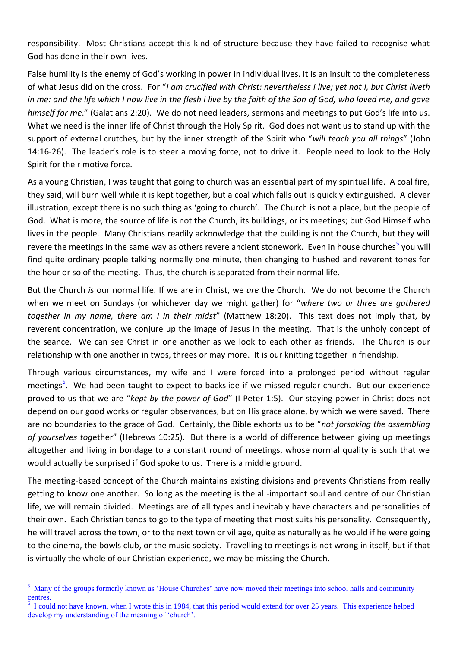responsibility. Most Christians accept this kind of structure because they have failed to recognise what God has done in their own lives.

False humility is the enemy of God's working in power in individual lives. It is an insult to the completeness of what Jesus did on the cross. For "*I am crucified with Christ: nevertheless I live; yet not I, but Christ liveth in me: and the life which I now live in the flesh I live by the faith of the Son of God, who loved me, and gave himself for me*." (Galatians 2:20). We do not need leaders, sermons and meetings to put God's life into us. What we need is the inner life of Christ through the Holy Spirit. God does not want us to stand up with the support of external crutches, but by the inner strength of the Spirit who "*will teach you all things*" (John 14:16-26). The leader's role is to steer a moving force, not to drive it. People need to look to the Holy Spirit for their motive force.

As a young Christian, I was taught that going to church was an essential part of my spiritual life. A coal fire, they said, will burn well while it is kept together, but a coal which falls out is quickly extinguished. A clever illustration, except there is no such thing as 'going to church'. The Church is not a place, but the people of God. What is more, the source of life is not the Church, its buildings, or its meetings; but God Himself who lives in the people. Many Christians readily acknowledge that the building is not the Church, but they will revere the meetings in the same way as others revere ancient stonework. Even in house churches<sup>5</sup> you will find quite ordinary people talking normally one minute, then changing to hushed and reverent tones for the hour or so of the meeting. Thus, the church is separated from their normal life.

But the Church *is* our normal life. If we are in Christ, we *are* the Church. We do not become the Church when we meet on Sundays (or whichever day we might gather) for "*where two or three are gathered together in my name, there am I in their midst*" (Matthew 18:20). This text does not imply that, by reverent concentration, we conjure up the image of Jesus in the meeting. That is the unholy concept of the seance. We can see Christ in one another as we look to each other as friends. The Church is our relationship with one another in twos, threes or may more. It is our knitting together in friendship.

Through various circumstances, my wife and I were forced into a prolonged period without regular meetings<sup>6</sup>. We had been taught to expect to backslide if we missed regular church. But our experience proved to us that we are "*kept by the power of God*" (I Peter 1:5). Our staying power in Christ does not depend on our good works or regular observances, but on His grace alone, by which we were saved. There are no boundaries to the grace of God. Certainly, the Bible exhorts us to be "*not forsaking the assembling of yourselves tog*ether" (Hebrews 10:25). But there is a world of difference between giving up meetings altogether and living in bondage to a constant round of meetings, whose normal quality is such that we would actually be surprised if God spoke to us. There is a middle ground.

The meeting-based concept of the Church maintains existing divisions and prevents Christians from really getting to know one another. So long as the meeting is the all-important soul and centre of our Christian life, we will remain divided. Meetings are of all types and inevitably have characters and personalities of their own. Each Christian tends to go to the type of meeting that most suits his personality. Consequently, he will travel across the town, or to the next town or village, quite as naturally as he would if he were going to the cinema, the bowls club, or the music society. Travelling to meetings is not wrong in itself, but if that is virtually the whole of our Christian experience, we may be missing the Church.

**.** 

<sup>&</sup>lt;sup>5</sup> Many of the groups formerly known as 'House Churches' have now moved their meetings into school halls and community centres.

<sup>&</sup>lt;sup>6</sup> I could not have known, when I wrote this in 1984, that this period would extend for over 25 years. This experience helped develop my understanding of the meaning of 'church'.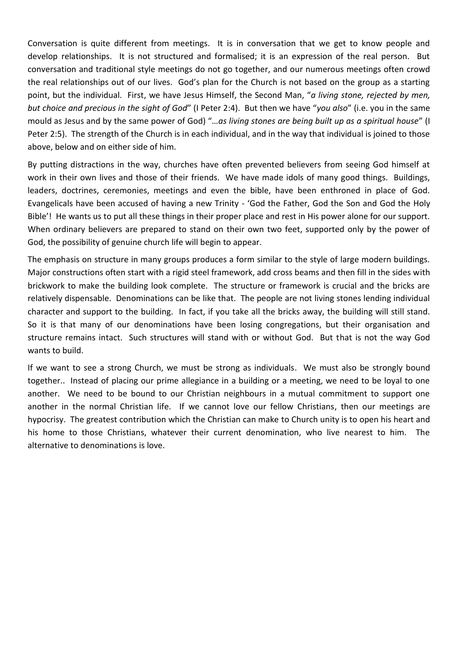Conversation is quite different from meetings. It is in conversation that we get to know people and develop relationships. It is not structured and formalised; it is an expression of the real person. But conversation and traditional style meetings do not go together, and our numerous meetings often crowd the real relationships out of our lives. God's plan for the Church is not based on the group as a starting point, but the individual. First, we have Jesus Himself, the Second Man, "*a living stone, rejected by men, but choice and precious in the sight of God*" (I Peter 2:4). But then we have "*you also*" (i.e. you in the same mould as Jesus and by the same power of God) "…*as living stones are being built up as a spiritual house*" (I Peter 2:5). The strength of the Church is in each individual, and in the way that individual is joined to those above, below and on either side of him.

By putting distractions in the way, churches have often prevented believers from seeing God himself at work in their own lives and those of their friends. We have made idols of many good things. Buildings, leaders, doctrines, ceremonies, meetings and even the bible, have been enthroned in place of God. Evangelicals have been accused of having a new Trinity - 'God the Father, God the Son and God the Holy Bible'! He wants us to put all these things in their proper place and rest in His power alone for our support. When ordinary believers are prepared to stand on their own two feet, supported only by the power of God, the possibility of genuine church life will begin to appear.

The emphasis on structure in many groups produces a form similar to the style of large modern buildings. Major constructions often start with a rigid steel framework, add cross beams and then fill in the sides with brickwork to make the building look complete. The structure or framework is crucial and the bricks are relatively dispensable. Denominations can be like that. The people are not living stones lending individual character and support to the building. In fact, if you take all the bricks away, the building will still stand. So it is that many of our denominations have been losing congregations, but their organisation and structure remains intact. Such structures will stand with or without God. But that is not the way God wants to build.

If we want to see a strong Church, we must be strong as individuals. We must also be strongly bound together.. Instead of placing our prime allegiance in a building or a meeting, we need to be loyal to one another. We need to be bound to our Christian neighbours in a mutual commitment to support one another in the normal Christian life. If we cannot love our fellow Christians, then our meetings are hypocrisy. The greatest contribution which the Christian can make to Church unity is to open his heart and his home to those Christians, whatever their current denomination, who live nearest to him. The alternative to denominations is love.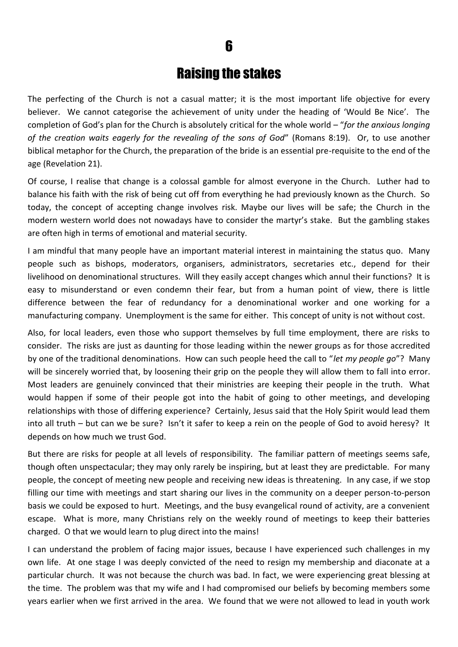### 6

### Raising the stakes

The perfecting of the Church is not a casual matter; it is the most important life objective for every believer. We cannot categorise the achievement of unity under the heading of 'Would Be Nice'. The completion of God's plan for the Church is absolutely critical for the whole world – "*for the anxious longing of the creation waits eagerly for the revealing of the sons of God*" (Romans 8:19). Or, to use another biblical metaphor for the Church, the preparation of the bride is an essential pre-requisite to the end of the age (Revelation 21).

Of course, I realise that change is a colossal gamble for almost everyone in the Church. Luther had to balance his faith with the risk of being cut off from everything he had previously known as the Church. So today, the concept of accepting change involves risk. Maybe our lives will be safe; the Church in the modern western world does not nowadays have to consider the martyr's stake. But the gambling stakes are often high in terms of emotional and material security.

I am mindful that many people have an important material interest in maintaining the status quo. Many people such as bishops, moderators, organisers, administrators, secretaries etc., depend for their livelihood on denominational structures. Will they easily accept changes which annul their functions? It is easy to misunderstand or even condemn their fear, but from a human point of view, there is little difference between the fear of redundancy for a denominational worker and one working for a manufacturing company. Unemployment is the same for either. This concept of unity is not without cost.

Also, for local leaders, even those who support themselves by full time employment, there are risks to consider. The risks are just as daunting for those leading within the newer groups as for those accredited by one of the traditional denominations. How can such people heed the call to "*let my people go*"? Many will be sincerely worried that, by loosening their grip on the people they will allow them to fall into error. Most leaders are genuinely convinced that their ministries are keeping their people in the truth. What would happen if some of their people got into the habit of going to other meetings, and developing relationships with those of differing experience? Certainly, Jesus said that the Holy Spirit would lead them into all truth – but can we be sure? Isn't it safer to keep a rein on the people of God to avoid heresy? It depends on how much we trust God.

But there are risks for people at all levels of responsibility. The familiar pattern of meetings seems safe, though often unspectacular; they may only rarely be inspiring, but at least they are predictable. For many people, the concept of meeting new people and receiving new ideas is threatening. In any case, if we stop filling our time with meetings and start sharing our lives in the community on a deeper person-to-person basis we could be exposed to hurt. Meetings, and the busy evangelical round of activity, are a convenient escape. What is more, many Christians rely on the weekly round of meetings to keep their batteries charged. O that we would learn to plug direct into the mains!

I can understand the problem of facing major issues, because I have experienced such challenges in my own life. At one stage I was deeply convicted of the need to resign my membership and diaconate at a particular church. It was not because the church was bad. In fact, we were experiencing great blessing at the time. The problem was that my wife and I had compromised our beliefs by becoming members some years earlier when we first arrived in the area. We found that we were not allowed to lead in youth work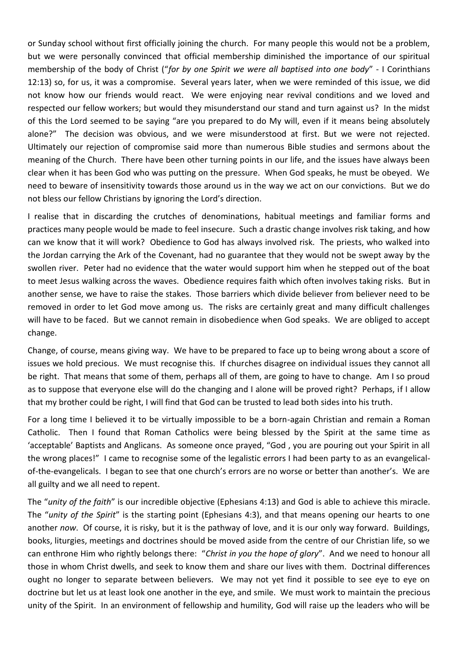or Sunday school without first officially joining the church. For many people this would not be a problem, but we were personally convinced that official membership diminished the importance of our spiritual membership of the body of Christ ("*for by one Spirit we were all baptised into one body*" - I Corinthians 12:13) so, for us, it was a compromise. Several years later, when we were reminded of this issue, we did not know how our friends would react. We were enjoying near revival conditions and we loved and respected our fellow workers; but would they misunderstand our stand and turn against us? In the midst of this the Lord seemed to be saying "are you prepared to do My will, even if it means being absolutely alone?" The decision was obvious, and we were misunderstood at first. But we were not rejected. Ultimately our rejection of compromise said more than numerous Bible studies and sermons about the meaning of the Church. There have been other turning points in our life, and the issues have always been clear when it has been God who was putting on the pressure. When God speaks, he must be obeyed. We need to beware of insensitivity towards those around us in the way we act on our convictions. But we do not bless our fellow Christians by ignoring the Lord's direction.

I realise that in discarding the crutches of denominations, habitual meetings and familiar forms and practices many people would be made to feel insecure. Such a drastic change involves risk taking, and how can we know that it will work? Obedience to God has always involved risk. The priests, who walked into the Jordan carrying the Ark of the Covenant, had no guarantee that they would not be swept away by the swollen river. Peter had no evidence that the water would support him when he stepped out of the boat to meet Jesus walking across the waves. Obedience requires faith which often involves taking risks. But in another sense, we have to raise the stakes. Those barriers which divide believer from believer need to be removed in order to let God move among us. The risks are certainly great and many difficult challenges will have to be faced. But we cannot remain in disobedience when God speaks. We are obliged to accept change.

Change, of course, means giving way. We have to be prepared to face up to being wrong about a score of issues we hold precious. We must recognise this. If churches disagree on individual issues they cannot all be right. That means that some of them, perhaps all of them, are going to have to change. Am I so proud as to suppose that everyone else will do the changing and I alone will be proved right? Perhaps, if I allow that my brother could be right, I will find that God can be trusted to lead both sides into his truth.

For a long time I believed it to be virtually impossible to be a born-again Christian and remain a Roman Catholic. Then I found that Roman Catholics were being blessed by the Spirit at the same time as 'acceptable' Baptists and Anglicans. As someone once prayed, "God , you are pouring out your Spirit in all the wrong places!" I came to recognise some of the legalistic errors I had been party to as an evangelicalof-the-evangelicals. I began to see that one church's errors are no worse or better than another's. We are all guilty and we all need to repent.

The "*unity of the faith*" is our incredible objective (Ephesians 4:13) and God is able to achieve this miracle. The "*unity of the Spirit*" is the starting point (Ephesians 4:3), and that means opening our hearts to one another *now*. Of course, it is risky, but it is the pathway of love, and it is our only way forward. Buildings, books, liturgies, meetings and doctrines should be moved aside from the centre of our Christian life, so we can enthrone Him who rightly belongs there: "*Christ in you the hope of glory*". And we need to honour all those in whom Christ dwells, and seek to know them and share our lives with them. Doctrinal differences ought no longer to separate between believers. We may not yet find it possible to see eye to eye on doctrine but let us at least look one another in the eye, and smile. We must work to maintain the precious unity of the Spirit. In an environment of fellowship and humility, God will raise up the leaders who will be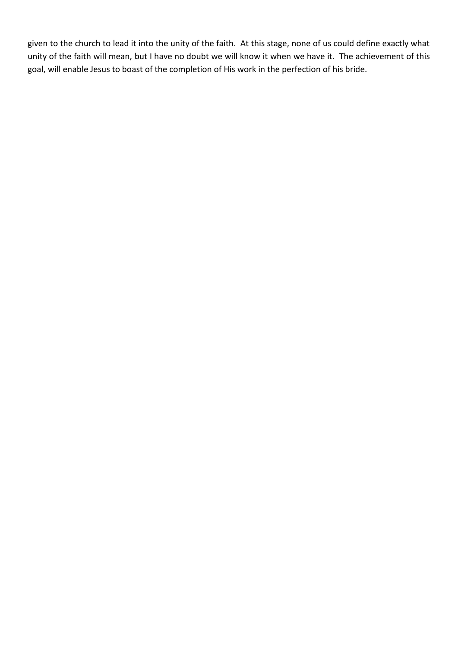given to the church to lead it into the unity of the faith. At this stage, none of us could define exactly what unity of the faith will mean, but I have no doubt we will know it when we have it. The achievement of this goal, will enable Jesus to boast of the completion of His work in the perfection of his bride.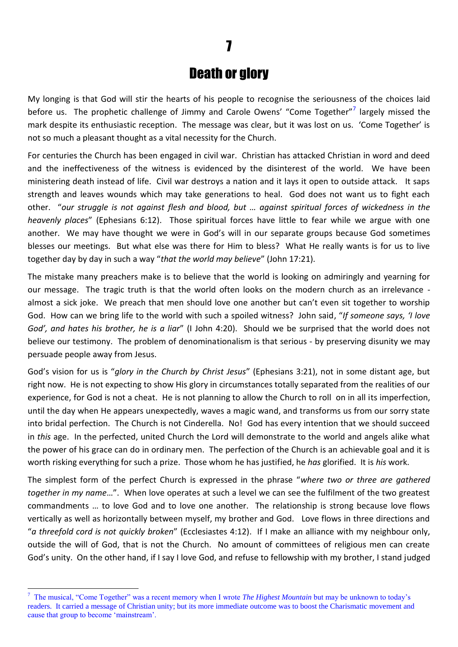### Death or glory

My longing is that God will stir the hearts of his people to recognise the seriousness of the choices laid before us. The prophetic challenge of Jimmy and Carole Owens' "Come Together"<sup>7</sup> largely missed the mark despite its enthusiastic reception. The message was clear, but it was lost on us. 'Come Together' is not so much a pleasant thought as a vital necessity for the Church.

For centuries the Church has been engaged in civil war. Christian has attacked Christian in word and deed and the ineffectiveness of the witness is evidenced by the disinterest of the world. We have been ministering death instead of life. Civil war destroys a nation and it lays it open to outside attack. It saps strength and leaves wounds which may take generations to heal. God does not want us to fight each other. "*our struggle is not against flesh and blood, but … against spiritual forces of wickedness in the heavenly places*" (Ephesians 6:12). Those spiritual forces have little to fear while we argue with one another. We may have thought we were in God's will in our separate groups because God sometimes blesses our meetings. But what else was there for Him to bless? What He really wants is for us to live together day by day in such a way "*that the world may believe*" (John 17:21).

The mistake many preachers make is to believe that the world is looking on admiringly and yearning for our message. The tragic truth is that the world often looks on the modern church as an irrelevance almost a sick joke. We preach that men should love one another but can't even sit together to worship God. How can we bring life to the world with such a spoiled witness? John said, "*If someone says, 'I love God', and hates his brother, he is a liar*" (I John 4:20). Should we be surprised that the world does not believe our testimony. The problem of denominationalism is that serious - by preserving disunity we may persuade people away from Jesus.

God's vision for us is "*glory in the Church by Christ Jesus*" (Ephesians 3:21), not in some distant age, but right now. He is not expecting to show His glory in circumstances totally separated from the realities of our experience, for God is not a cheat. He is not planning to allow the Church to roll on in all its imperfection, until the day when He appears unexpectedly, waves a magic wand, and transforms us from our sorry state into bridal perfection. The Church is not Cinderella. No! God has every intention that we should succeed in *this* age. In the perfected, united Church the Lord will demonstrate to the world and angels alike what the power of his grace can do in ordinary men. The perfection of the Church is an achievable goal and it is worth risking everything for such a prize. Those whom he has justified, he *has* glorified. It is *his* work.

The simplest form of the perfect Church is expressed in the phrase "*where two or three are gathered together in my name*…". When love operates at such a level we can see the fulfilment of the two greatest commandments … to love God and to love one another. The relationship is strong because love flows vertically as well as horizontally between myself, my brother and God. Love flows in three directions and "*a threefold cord is not quickly broken*" (Ecclesiastes 4:12). If I make an alliance with my neighbour only, outside the will of God, that is not the Church. No amount of committees of religious men can create God's unity. On the other hand, if I say I love God, and refuse to fellowship with my brother, I stand judged

1

<sup>7</sup> The musical, "Come Together" was a recent memory when I wrote *The Highest Mountain* but may be unknown to today's readers. It carried a message of Christian unity; but its more immediate outcome was to boost the Charismatic movement and cause that group to become 'mainstream'.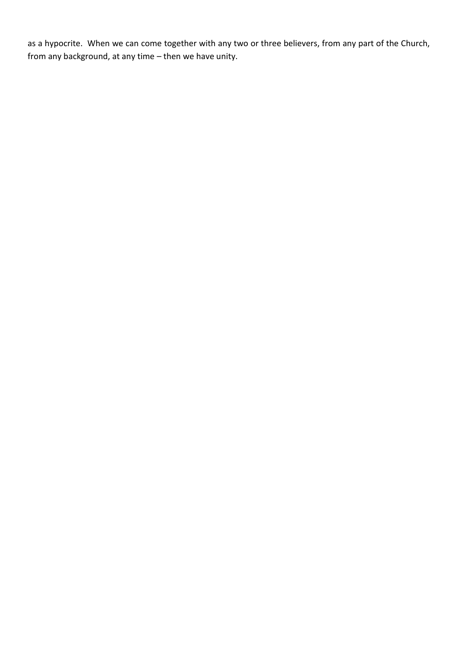as a hypocrite. When we can come together with any two or three believers, from any part of the Church, from any background, at any time – then we have unity.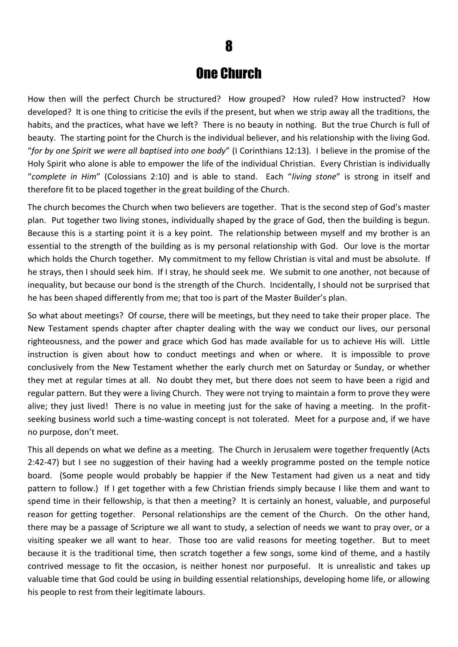### One Church

How then will the perfect Church be structured? How grouped? How ruled? How instructed? How developed? It is one thing to criticise the evils if the present, but when we strip away all the traditions, the habits, and the practices, what have we left? There is no beauty in nothing. But the true Church is full of beauty. The starting point for the Church is the individual believer, and his relationship with the living God. "*for by one Spirit we were all baptised into one body*" (I Corinthians 12:13). I believe in the promise of the Holy Spirit who alone is able to empower the life of the individual Christian. Every Christian is individually "*complete in Him*" (Colossians 2:10) and is able to stand. Each "*living stone*" is strong in itself and therefore fit to be placed together in the great building of the Church.

The church becomes the Church when two believers are together. That is the second step of God's master plan. Put together two living stones, individually shaped by the grace of God, then the building is begun. Because this is a starting point it is a key point. The relationship between myself and my brother is an essential to the strength of the building as is my personal relationship with God. Our love is the mortar which holds the Church together. My commitment to my fellow Christian is vital and must be absolute. If he strays, then I should seek him. If I stray, he should seek me. We submit to one another, not because of inequality, but because our bond is the strength of the Church. Incidentally, I should not be surprised that he has been shaped differently from me; that too is part of the Master Builder's plan.

So what about meetings? Of course, there will be meetings, but they need to take their proper place. The New Testament spends chapter after chapter dealing with the way we conduct our lives, our personal righteousness, and the power and grace which God has made available for us to achieve His will. Little instruction is given about how to conduct meetings and when or where. It is impossible to prove conclusively from the New Testament whether the early church met on Saturday or Sunday, or whether they met at regular times at all. No doubt they met, but there does not seem to have been a rigid and regular pattern. But they were a living Church. They were not trying to maintain a form to prove they were alive; they just lived! There is no value in meeting just for the sake of having a meeting. In the profitseeking business world such a time-wasting concept is not tolerated. Meet for a purpose and, if we have no purpose, don't meet.

This all depends on what we define as a meeting. The Church in Jerusalem were together frequently (Acts 2:42-47) but I see no suggestion of their having had a weekly programme posted on the temple notice board. (Some people would probably be happier if the New Testament had given us a neat and tidy pattern to follow.) If I get together with a few Christian friends simply because I like them and want to spend time in their fellowship, is that then a meeting? It is certainly an honest, valuable, and purposeful reason for getting together. Personal relationships are the cement of the Church. On the other hand, there may be a passage of Scripture we all want to study, a selection of needs we want to pray over, or a visiting speaker we all want to hear. Those too are valid reasons for meeting together. But to meet because it is the traditional time, then scratch together a few songs, some kind of theme, and a hastily contrived message to fit the occasion, is neither honest nor purposeful. It is unrealistic and takes up valuable time that God could be using in building essential relationships, developing home life, or allowing his people to rest from their legitimate labours.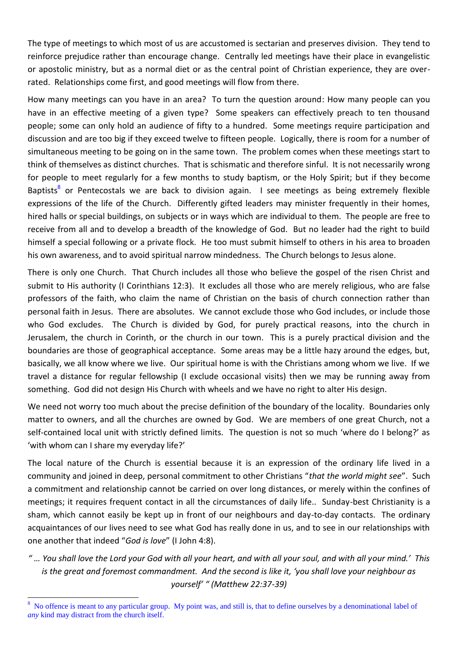The type of meetings to which most of us are accustomed is sectarian and preserves division. They tend to reinforce prejudice rather than encourage change. Centrally led meetings have their place in evangelistic or apostolic ministry, but as a normal diet or as the central point of Christian experience, they are overrated. Relationships come first, and good meetings will flow from there.

How many meetings can you have in an area? To turn the question around: How many people can you have in an effective meeting of a given type? Some speakers can effectively preach to ten thousand people; some can only hold an audience of fifty to a hundred. Some meetings require participation and discussion and are too big if they exceed twelve to fifteen people. Logically, there is room for a number of simultaneous meeting to be going on in the same town. The problem comes when these meetings start to think of themselves as distinct churches. That is schismatic and therefore sinful. It is not necessarily wrong for people to meet regularly for a few months to study baptism, or the Holy Spirit; but if they become Baptists<sup>8</sup> or Pentecostals we are back to division again. I see meetings as being extremely flexible expressions of the life of the Church. Differently gifted leaders may minister frequently in their homes, hired halls or special buildings, on subjects or in ways which are individual to them. The people are free to receive from all and to develop a breadth of the knowledge of God. But no leader had the right to build himself a special following or a private flock. He too must submit himself to others in his area to broaden his own awareness, and to avoid spiritual narrow mindedness. The Church belongs to Jesus alone.

There is only one Church. That Church includes all those who believe the gospel of the risen Christ and submit to His authority (I Corinthians 12:3). It excludes all those who are merely religious, who are false professors of the faith, who claim the name of Christian on the basis of church connection rather than personal faith in Jesus. There are absolutes. We cannot exclude those who God includes, or include those who God excludes. The Church is divided by God, for purely practical reasons, into the church in Jerusalem, the church in Corinth, or the church in our town. This is a purely practical division and the boundaries are those of geographical acceptance. Some areas may be a little hazy around the edges, but, basically, we all know where we live. Our spiritual home is with the Christians among whom we live. If we travel a distance for regular fellowship (I exclude occasional visits) then we may be running away from something. God did not design His Church with wheels and we have no right to alter His design.

We need not worry too much about the precise definition of the boundary of the locality. Boundaries only matter to owners, and all the churches are owned by God. We are members of one great Church, not a self-contained local unit with strictly defined limits. The question is not so much 'where do I belong?' as 'with whom can I share my everyday life?'

The local nature of the Church is essential because it is an expression of the ordinary life lived in a community and joined in deep, personal commitment to other Christians "*that the world might see*". Such a commitment and relationship cannot be carried on over long distances, or merely within the confines of meetings; it requires frequent contact in all the circumstances of daily life.. Sunday-best Christianity is a sham, which cannot easily be kept up in front of our neighbours and day-to-day contacts. The ordinary acquaintances of our lives need to see what God has really done in us, and to see in our relationships with one another that indeed "*God is love*" (I John 4:8).

*" … You shall love the Lord your God with all your heart, and with all your soul, and with all your mind.' This is the great and foremost commandment. And the second is like it, 'you shall love your neighbour as yourself' " (Matthew 22:37-39)*

**<sup>.</sup>** 8 No offence is meant to any particular group. My point was, and still is, that to define ourselves by a denominational label of *any* kind may distract from the church itself.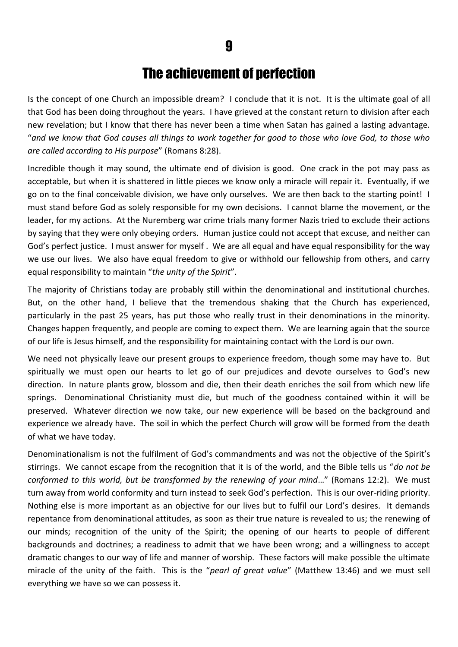### The achievement of perfection

Is the concept of one Church an impossible dream? I conclude that it is not. It is the ultimate goal of all that God has been doing throughout the years. I have grieved at the constant return to division after each new revelation; but I know that there has never been a time when Satan has gained a lasting advantage. "*and we know that God causes all things to work together for good to those who love God, to those who are called according to His purpose*" (Romans 8:28).

Incredible though it may sound, the ultimate end of division is good. One crack in the pot may pass as acceptable, but when it is shattered in little pieces we know only a miracle will repair it. Eventually, if we go on to the final conceivable division, we have only ourselves. We are then back to the starting point! I must stand before God as solely responsible for my own decisions. I cannot blame the movement, or the leader, for my actions. At the Nuremberg war crime trials many former Nazis tried to exclude their actions by saying that they were only obeying orders. Human justice could not accept that excuse, and neither can God's perfect justice. I must answer for myself . We are all equal and have equal responsibility for the way we use our lives. We also have equal freedom to give or withhold our fellowship from others, and carry equal responsibility to maintain "*the unity of the Spirit*".

The majority of Christians today are probably still within the denominational and institutional churches. But, on the other hand, I believe that the tremendous shaking that the Church has experienced, particularly in the past 25 years, has put those who really trust in their denominations in the minority. Changes happen frequently, and people are coming to expect them. We are learning again that the source of our life is Jesus himself, and the responsibility for maintaining contact with the Lord is our own.

We need not physically leave our present groups to experience freedom, though some may have to. But spiritually we must open our hearts to let go of our prejudices and devote ourselves to God's new direction. In nature plants grow, blossom and die, then their death enriches the soil from which new life springs. Denominational Christianity must die, but much of the goodness contained within it will be preserved. Whatever direction we now take, our new experience will be based on the background and experience we already have. The soil in which the perfect Church will grow will be formed from the death of what we have today.

Denominationalism is not the fulfilment of God's commandments and was not the objective of the Spirit's stirrings. We cannot escape from the recognition that it is of the world, and the Bible tells us "*do not be conformed to this world, but be transformed by the renewing of your mind*…" (Romans 12:2). We must turn away from world conformity and turn instead to seek God's perfection. This is our over-riding priority. Nothing else is more important as an objective for our lives but to fulfil our Lord's desires. It demands repentance from denominational attitudes, as soon as their true nature is revealed to us; the renewing of our minds; recognition of the unity of the Spirit; the opening of our hearts to people of different backgrounds and doctrines; a readiness to admit that we have been wrong; and a willingness to accept dramatic changes to our way of life and manner of worship. These factors will make possible the ultimate miracle of the unity of the faith. This is the "*pearl of great value*" (Matthew 13:46) and we must sell everything we have so we can possess it.